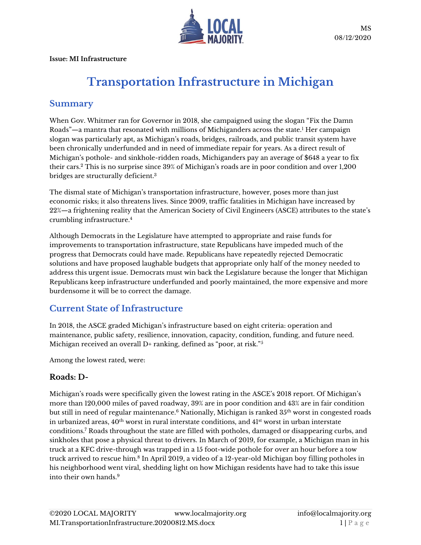

**Issue: MI Infrastructure**

# **Transportation Infrastructure in Michigan**

## **Summary**

When Gov. Whitmer ran for Governor in 2018, she campaigned using the slogan "Fix the Damn Roads"—a mantra that resonated with millions of Michiganders across the state.<sup>1</sup> Her campaign slogan was particularly apt, as Michigan's roads, bridges, railroads, and public transit system have been chronically underfunded and in need of immediate repair for years. As a direct result of Michigan's pothole- and sinkhole-ridden roads, Michiganders pay an average of \$648 a year to fix their cars. <sup>2</sup> This is no surprise since 39% of Michigan's roads are in poor condition and over 1,200 bridges are structurally deficient.<sup>3</sup>

The dismal state of Michigan's transportation infrastructure, however, poses more than just economic risks; it also threatens lives. Since 2009, traffic fatalities in Michigan have increased by 22%—a frightening reality that the American Society of Civil Engineers (ASCE) attributes to the state's crumbling infrastructure.<sup>4</sup>

Although Democrats in the Legislature have attempted to appropriate and raise funds for improvements to transportation infrastructure, state Republicans have impeded much of the progress that Democrats could have made. Republicans have repeatedly rejected Democratic solutions and have proposed laughable budgets that appropriate only half of the money needed to address this urgent issue. Democrats must win back the Legislature because the longer that Michigan Republicans keep infrastructure underfunded and poorly maintained, the more expensive and more burdensome it will be to correct the damage.

## **Current State of Infrastructure**

In 2018, the ASCE graded Michigan's infrastructure based on eight criteria: operation and maintenance, public safety, resilience, innovation, capacity, condition, funding, and future need. Michigan received an overall D+ ranking, defined as "poor, at risk."<sup>5</sup>

Among the lowest rated, were:

#### **Roads: D-**

Michigan's roads were specifically given the lowest rating in the ASCE's 2018 report. Of Michigan's more than 120,000 miles of paved roadway, 39% are in poor condition and 43% are in fair condition but still in need of regular maintenance.<sup>6</sup> Nationally, Michigan is ranked 35<sup>th</sup> worst in congested roads in urbanized areas,  $40<sup>th</sup>$  worst in rural interstate conditions, and  $41<sup>st</sup>$  worst in urban interstate conditions. <sup>7</sup> Roads throughout the state are filled with potholes, damaged or disappearing curbs, and sinkholes that pose a physical threat to drivers. In March of 2019, for example, a Michigan man in his truck at a KFC drive-through was trapped in a 15 foot-wide pothole for over an hour before a tow truck arrived to rescue him.<sup>8</sup> In April 2019, a video of a 12-year-old Michigan boy filling potholes in his neighborhood went viral, shedding light on how Michigan residents have had to take this issue into their own hands.9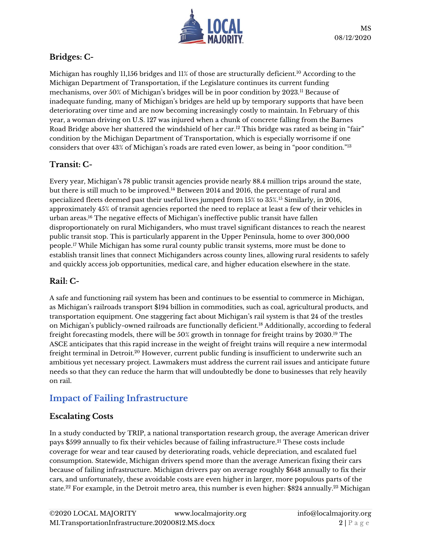

# **Bridges: C-**

Michigan has roughly 11,156 bridges and 11% of those are structurally deficient.<sup>10</sup> According to the Michigan Department of Transportation, if the Legislature continues its current funding mechanisms, over 50% of Michigan's bridges will be in poor condition by 2023.<sup>11</sup> Because of inadequate funding, many of Michigan's bridges are held up by temporary supports that have been deteriorating over time and are now becoming increasingly costly to maintain. In February of this year, a woman driving on U.S. 127 was injured when a chunk of concrete falling from the Barnes Road Bridge above her shattered the windshield of her car.<sup>12</sup> This bridge was rated as being in "fair" condition by the Michigan Department of Transportation, which is especially worrisome if one considers that over 43% of Michigan's roads are rated even lower, as being in "poor condition."<sup>13</sup>

# **Transit: C-**

Every year, Michigan's 78 public transit agencies provide nearly 88.4 million trips around the state, but there is still much to be improved.<sup>14</sup> Between 2014 and 2016, the percentage of rural and specialized fleets deemed past their useful lives jumped from 15% to 35%.<sup>15</sup> Similarly, in 2016, approximately 45% of transit agencies reported the need to replace at least a few of their vehicles in urban areas.<sup>16</sup> The negative effects of Michigan's ineffective public transit have fallen disproportionately on rural Michiganders, who must travel significant distances to reach the nearest public transit stop. This is particularly apparent in the Upper Peninsula, home to over 300,000 people.<sup>17</sup> While Michigan has some rural county public transit systems, more must be done to establish transit lines that connect Michiganders across county lines, allowing rural residents to safely and quickly access job opportunities, medical care, and higher education elsewhere in the state.

#### **Rail: C-**

A safe and functioning rail system has been and continues to be essential to commerce in Michigan, as Michigan's railroads transport \$194 billion in commodities, such as coal, agricultural products, and transportation equipment. One staggering fact about Michigan's rail system is that 24 of the trestles on Michigan's publicly-owned railroads are functionally deficient.<sup>18</sup> Additionally, according to federal freight forecasting models, there will be 50% growth in tonnage for freight trains by 2030.<sup>19</sup> The ASCE anticipates that this rapid increase in the weight of freight trains will require a new intermodal freight terminal in Detroit. $^\mathrm{20}$  However, current public funding is insufficient to underwrite such an ambitious yet necessary project. Lawmakers must address the current rail issues and anticipate future needs so that they can reduce the harm that will undoubtedly be done to businesses that rely heavily on rail.

# **Impact of Failing Infrastructure**

#### **Escalating Costs**

In a study conducted by TRIP, a national transportation research group, the average American driver pays \$599 annually to fix their vehicles because of failing infrastructure.<sup>21</sup> These costs include coverage for wear and tear caused by deteriorating roads, vehicle depreciation, and escalated fuel consumption. Statewide, Michigan drivers spend more than the average American fixing their cars because of failing infrastructure. Michigan drivers pay on average roughly \$648 annually to fix their cars, and unfortunately, these avoidable costs are even higher in larger, more populous parts of the state.<sup>22</sup> For example, in the Detroit metro area, this number is even higher: \$824 annually.<sup>23</sup> Michigan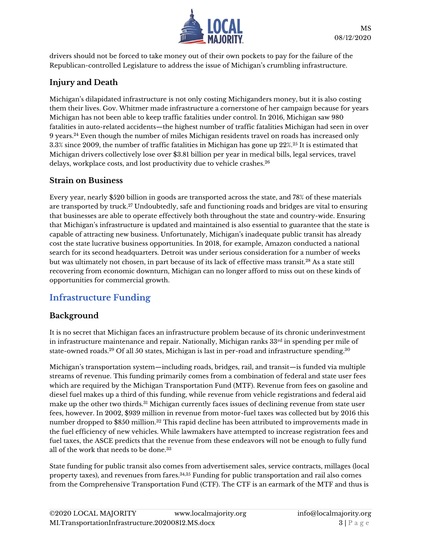

drivers should not be forced to take money out of their own pockets to pay for the failure of the Republican-controlled Legislature to address the issue of Michigan's crumbling infrastructure.

#### **Injury and Death**

Michigan's dilapidated infrastructure is not only costing Michiganders money, but it is also costing them their lives. Gov. Whitmer made infrastructure a cornerstone of her campaign because for years Michigan has not been able to keep traffic fatalities under control. In 2016, Michigan saw 980 fatalities in auto-related accidents—the highest number of traffic fatalities Michigan had seen in over 9 years.<sup>24</sup> Even though the number of miles Michigan residents travel on roads has increased only 3.3% since 2009, the number of traffic fatalities in Michigan has gone up 22%.<sup>25</sup> It is estimated that Michigan drivers collectively lose over \$3.81 billion per year in medical bills, legal services, travel delays, workplace costs, and lost productivity due to vehicle crashes.<sup>26</sup>

#### **Strain on Business**

Every year, nearly \$520 billion in goods are transported across the state, and 78% of these materials are transported by truck. <sup>27</sup> Undoubtedly, safe and functioning roads and bridges are vital to ensuring that businesses are able to operate effectively both throughout the state and country-wide. Ensuring that Michigan's infrastructure is updated and maintained is also essential to guarantee that the state is capable of attracting new business. Unfortunately, Michigan's inadequate public transit has already cost the state lucrative business opportunities. In 2018, for example, Amazon conducted a national search for its second headquarters. Detroit was under serious consideration for a number of weeks but was ultimately not chosen, in part because of its lack of effective mass transit.<sup>28</sup> As a state still recovering from economic downturn, Michigan can no longer afford to miss out on these kinds of opportunities for commercial growth.

## **Infrastructure Funding**

#### **Background**

It is no secret that Michigan faces an infrastructure problem because of its chronic underinvestment in infrastructure maintenance and repair. Nationally, Michigan ranks  $33<sup>rd</sup>$  in spending per mile of state-owned roads.<sup>29</sup> Of all 50 states, Michigan is last in per-road and infrastructure spending.<sup>30</sup>

Michigan's transportation system—including roads, bridges, rail, and transit—is funded via multiple streams of revenue. This funding primarily comes from a combination of federal and state user fees which are required by the Michigan Transportation Fund (MTF). Revenue from fees on gasoline and diesel fuel makes up a third of this funding, while revenue from vehicle registrations and federal aid make up the other two thirds.<sup>31</sup> Michigan currently faces issues of declining revenue from state user fees, however. In 2002, \$939 million in revenue from motor-fuel taxes was collected but by 2016 this number dropped to \$850 million.<sup>32</sup> This rapid decline has been attributed to improvements made in the fuel efficiency of new vehicles. While lawmakers have attempted to increase registration fees and fuel taxes, the ASCE predicts that the revenue from these endeavors will not be enough to fully fund all of the work that needs to be done.<sup>33</sup>

State funding for public transit also comes from advertisement sales, service contracts, millages (local property taxes), and revenues from fares.34,35 Funding for public transportation and rail also comes from the Comprehensive Transportation Fund (CTF). The CTF is an earmark of the MTF and thus is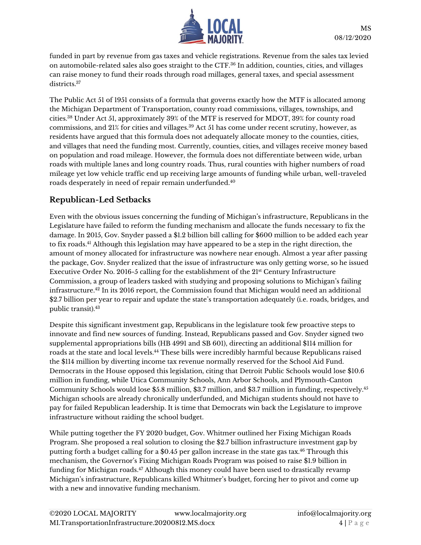

funded in part by revenue from gas taxes and vehicle registrations. Revenue from the sales tax levied on automobile-related sales also goes straight to the CTF.<sup>36</sup> In addition, counties, cities, and villages can raise money to fund their roads through road millages, general taxes, and special assessment districts.<sup>37</sup>

The Public Act 51 of 1951 consists of a formula that governs exactly how the MTF is allocated among the Michigan Department of Transportation, county road commissions, villages, townships, and cities.<sup>38</sup> Under Act 51, approximately 39% of the MTF is reserved for MDOT, 39% for county road commissions, and 21% for cities and villages.<sup>39</sup> Act 51 has come under recent scrutiny, however, as residents have argued that this formula does not adequately allocate money to the counties, cities, and villages that need the funding most. Currently, counties, cities, and villages receive money based on population and road mileage. However, the formula does not differentiate between wide, urban roads with multiple lanes and long country roads. Thus, rural counties with higher numbers of road mileage yet low vehicle traffic end up receiving large amounts of funding while urban, well-traveled roads desperately in need of repair remain underfunded.<sup>40</sup>

### **Republican-Led Setbacks**

Even with the obvious issues concerning the funding of Michigan's infrastructure, Republicans in the Legislature have failed to reform the funding mechanism and allocate the funds necessary to fix the damage. In 2015, Gov. Snyder passed a \$1.2 billion bill calling for \$600 million to be added each year to fix roads. <sup>41</sup> Although this legislation may have appeared to be a step in the right direction, the amount of money allocated for infrastructure was nowhere near enough. Almost a year after passing the package, Gov. Snyder realized that the issue of infrastructure was only getting worse, so he issued Executive Order No. 2016-5 calling for the establishment of the 21st Century Infrastructure Commission, a group of leaders tasked with studying and proposing solutions to Michigan's failing infrastructure.<sup>42</sup> In its 2016 report, the Commission found that Michigan would need an additional \$2.7 billion per year to repair and update the state's transportation adequately (i.e. roads, bridges, and public transit).<sup>43</sup>

Despite this significant investment gap, Republicans in the legislature took few proactive steps to innovate and find new sources of funding. Instead, Republicans passed and Gov. Snyder signed two supplemental appropriations bills (HB 4991 and SB 601), directing an additional \$114 million for roads at the state and local levels. <sup>44</sup> These bills were incredibly harmful because Republicans raised the \$114 million by diverting income tax revenue normally reserved for the School Aid Fund. Democrats in the House opposed this legislation, citing that Detroit Public Schools would lose \$10.6 million in funding, while Utica Community Schools, Ann Arbor Schools, and Plymouth-Canton Community Schools would lose \$5.8 million, \$3.7 million, and \$3.7 million in funding, respectively.<sup>45</sup> Michigan schools are already chronically underfunded, and Michigan students should not have to pay for failed Republican leadership. It is time that Democrats win back the Legislature to improve infrastructure without raiding the school budget.

While putting together the FY 2020 budget, Gov. Whitmer outlined her Fixing Michigan Roads Program. She proposed a real solution to closing the \$2.7 billion infrastructure investment gap by putting forth a budget calling for a \$0.45 per gallon increase in the state gas tax.<sup>46</sup> Through this mechanism, the Governor's Fixing Michigan Roads Program was poised to raise \$1.9 billion in funding for Michigan roads. <sup>47</sup> Although this money could have been used to drastically revamp Michigan's infrastructure, Republicans killed Whitmer's budget, forcing her to pivot and come up with a new and innovative funding mechanism.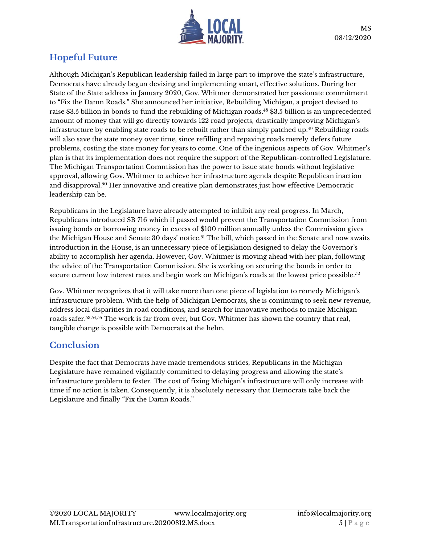

# **Hopeful Future**

Although Michigan's Republican leadership failed in large part to improve the state's infrastructure, Democrats have already begun devising and implementing smart, effective solutions. During her State of the State address in January 2020, Gov. Whitmer demonstrated her passionate commitment to "Fix the Damn Roads." She announced her initiative, Rebuilding Michigan, a project devised to raise \$3.5 billion in bonds to fund the rebuilding of Michigan roads. <sup>48</sup> \$3.5 billion is an unprecedented amount of money that will go directly towards 122 road projects, drastically improving Michigan's infrastructure by enabling state roads to be rebuilt rather than simply patched up. <sup>49</sup> Rebuilding roads will also save the state money over time, since refilling and repaving roads merely defers future problems, costing the state money for years to come. One of the ingenious aspects of Gov. Whitmer's plan is that its implementation does not require the support of the Republican-controlled Legislature. The Michigan Transportation Commission has the power to issue state bonds without legislative approval, allowing Gov. Whitmer to achieve her infrastructure agenda despite Republican inaction and disapproval.<sup>50</sup> Her innovative and creative plan demonstrates just how effective Democratic leadership can be.

Republicans in the Legislature have already attempted to inhibit any real progress. In March, Republicans introduced SB 716 which if passed would prevent the Transportation Commission from issuing bonds or borrowing money in excess of \$100 million annually unless the Commission gives the Michigan House and Senate 30 days' notice.<sup>51</sup> The bill, which passed in the Senate and now awaits introduction in the House, is an unnecessary piece of legislation designed to delay the Governor's ability to accomplish her agenda. However, Gov. Whitmer is moving ahead with her plan, following the advice of the Transportation Commission. She is working on securing the bonds in order to secure current low interest rates and begin work on Michigan's roads at the lowest price possible.<sup>52</sup>

Gov. Whitmer recognizes that it will take more than one piece of legislation to remedy Michigan's infrastructure problem. With the help of Michigan Democrats, she is continuing to seek new revenue, address local disparities in road conditions, and search for innovative methods to make Michigan roads safer.53,54,55 The work is far from over, but Gov. Whitmer has shown the country that real, tangible change is possible with Democrats at the helm.

## **Conclusion**

Despite the fact that Democrats have made tremendous strides, Republicans in the Michigan Legislature have remained vigilantly committed to delaying progress and allowing the state's infrastructure problem to fester. The cost of fixing Michigan's infrastructure will only increase with time if no action is taken. Consequently, it is absolutely necessary that Democrats take back the Legislature and finally "Fix the Damn Roads."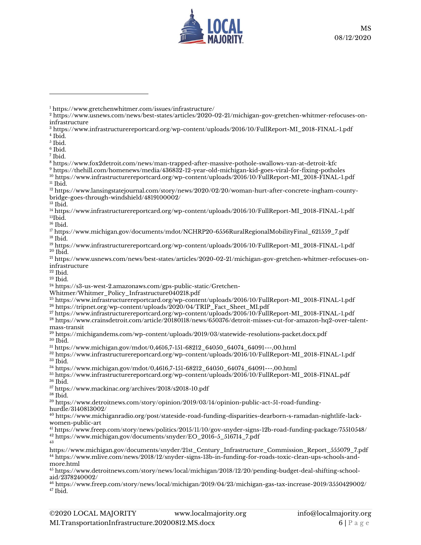

 https://www.infrastructurereportcard.org/wp-content/uploads/2016/10/FullReport-MI\_2018-FINAL-1.pdf Ibid.

- $^5$  Ibid.
- Ibid. Ibid.

 $<sup>11</sup>$  Ibid.</sup>

Ibid.

 $^{\rm 16}$  Ibid.

- https://www.infrastructurereportcard.org/wp-content/uploads/2016/10/FullReport-MI\_2018-FINAL-1.pdf  $^{20}$  Ibid.
- https://www.usnews.com/news/best-states/articles/2020-02-21/michigan-gov-gretchen-whitmer-refocuses-oninfrastructure
- Ibid.
- Ibid.

https://s3-us-west-2.amazonaws.com/gps-public-static/Gretchen-

Whitmer/Whitmer\_Policy\_Infrastructure040218.pdf

https://www.infrastructurereportcard.org/wp-content/uploads/2016/10/FullReport-MI\_2018-FINAL-1.pdf

- https://tripnet.org/wp-content/uploads/2020/04/TRIP\_Fact\_Sheet\_MI.pdf
- https://www.infrastructurereportcard.org/wp-content/uploads/2016/10/FullReport-MI\_2018-FINAL-1.pdf

 https://www.crainsdetroit.com/article/20180118/news/650376/detroit-misses-cut-for-amazon-hq2-over-talentmass-transit

 https://michigandems.com/wp-content/uploads/2019/03/statewide-resolutions-packet.docx.pdf  $^{\rm 30}$  Ibid.

https://www.michigan.gov/mdot/0,4616,7-151-68212\_64050\_64074\_64091---,00.html

 https://www.infrastructurereportcard.org/wp-content/uploads/2016/10/FullReport-MI\_2018-FINAL-1.pdf Ibid.

https://www.michigan.gov/mdot/0,4616,7-151-68212\_64050\_64074\_64091---,00.html

 https://www.infrastructurereportcard.org/wp-content/uploads/2016/10/FullReport-MI\_2018-FINAL.pdf Ibid.

https://www.mackinac.org/archives/2018/s2018-10.pdf

Ibid.

 https://www.detroitnews.com/story/opinion/2019/03/14/opinion-public-act-51-road-fundinghurdle/3140813002/

 https://www.michiganradio.org/post/stateside-road-funding-disparities-dearborn-s-ramadan-nightlife-lackwomen-public-art

 https://www.freep.com/story/news/politics/2015/11/10/gov-snyder-signs-12b-road-funding-package/75510548/ https://www.michigan.gov/documents/snyder/EO\_2016-5\_516714\_7.pdf 

https://www.michigan.gov/documents/snyder/21st\_Century\_Infrastructure\_Commission\_Report\_555079\_7.pdf https://www.mlive.com/news/2018/12/snyder-signs-13b-in-funding-for-roads-toxic-clean-ups-schools-andmore.html

 https://www.detroitnews.com/story/news/local/michigan/2018/12/20/pending-budget-deal-shifting-schoolaid/2378240002/

 https://www.freep.com/story/news/local/michigan/2019/04/23/michigan-gas-tax-increase-2019/3550429002/ Ibid.

https://www.gretchenwhitmer.com/issues/infrastructure/

 https://www.usnews.com/news/best-states/articles/2020-02-21/michigan-gov-gretchen-whitmer-refocuses-oninfrastructure

https://www.fox2detroit.com/news/man-trapped-after-massive-pothole-swallows-van-at-detroit-kfc

 https://thehill.com/homenews/media/436832-12-year-old-michigan-kid-goes-viral-for-fixing-potholes https://www.infrastructurereportcard.org/wp-content/uploads/2016/10/FullReport-MI\_2018-FINAL-1.pdf

<sup>&</sup>lt;sup>12</sup> https://www.lansingstatejournal.com/story/news/2020/02/20/woman-hurt-after-concrete-ingham-countybridge-goes-through-windshield/4819100002/

 https://www.infrastructurereportcard.org/wp-content/uploads/2016/10/FullReport-MI\_2018-FINAL-1.pdf Ibid.

 https://www.michigan.gov/documents/mdot/NCHRP20-6556RuralRegionalMobilityFinal\_621559\_7.pdf Ibid.